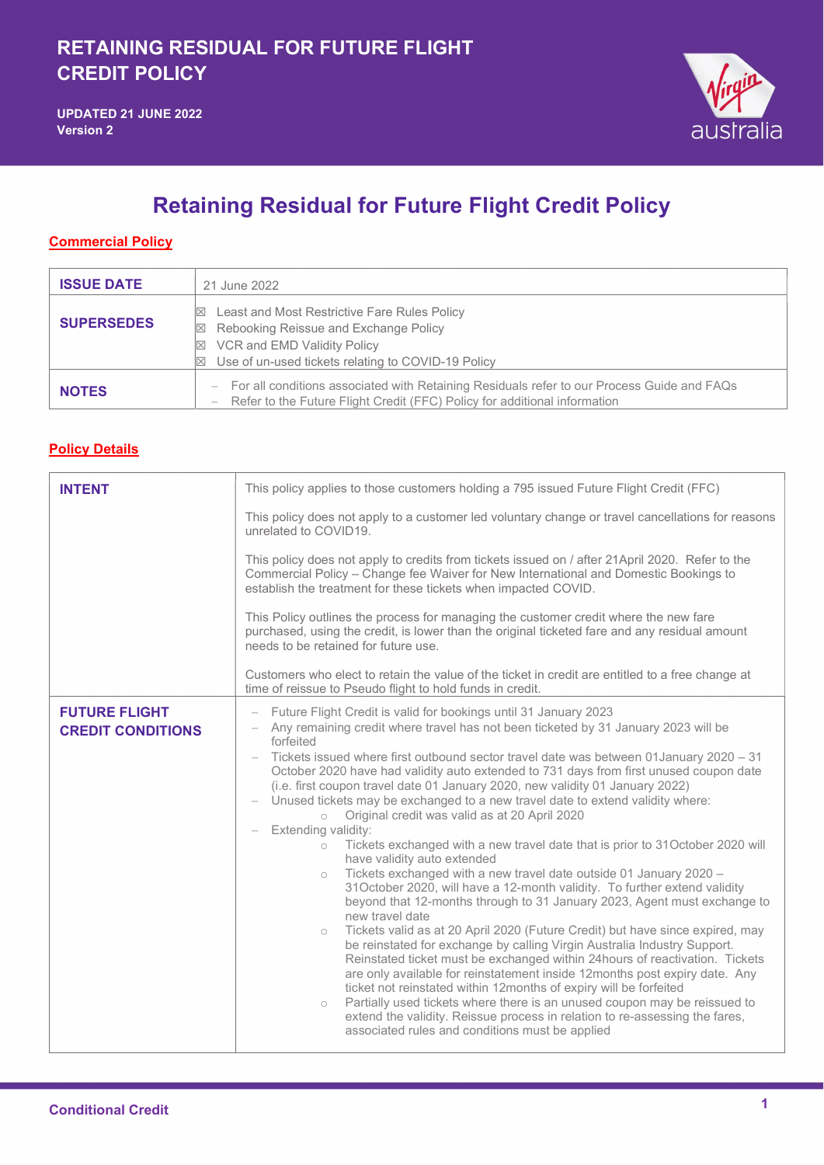

## Retaining Residual for Future Flight Credit Policy

## **Commercial Policy**

| <b>ISSUE DATE</b> | 21 June 2022                                                                                                                                                                                                            |
|-------------------|-------------------------------------------------------------------------------------------------------------------------------------------------------------------------------------------------------------------------|
| <b>SUPERSEDES</b> | Least and Most Restrictive Fare Rules Policy<br>$\mathbb{X}$<br>⊠ Rebooking Reissue and Exchange Policy<br>$\boxtimes$ VCR and EMD Validity Policy<br>Use of un-used tickets relating to COVID-19 Policy<br>$\boxtimes$ |
| <b>NOTES</b>      | - For all conditions associated with Retaining Residuals refer to our Process Guide and FAQs<br>Refer to the Future Flight Credit (FFC) Policy for additional information                                               |

## Policy Details

| <b>INTENT</b>                                    | This policy applies to those customers holding a 795 issued Future Flight Credit (FFC)                                                                                                                                                                                                                                                                                                                                                                                                                                                                                                                                                                                                                                                                                                                                                                                                                                                                                                                                                                                                                                                                                                                                                                                                                                                                                                                                                                                                                                                                                                                                                      |
|--------------------------------------------------|---------------------------------------------------------------------------------------------------------------------------------------------------------------------------------------------------------------------------------------------------------------------------------------------------------------------------------------------------------------------------------------------------------------------------------------------------------------------------------------------------------------------------------------------------------------------------------------------------------------------------------------------------------------------------------------------------------------------------------------------------------------------------------------------------------------------------------------------------------------------------------------------------------------------------------------------------------------------------------------------------------------------------------------------------------------------------------------------------------------------------------------------------------------------------------------------------------------------------------------------------------------------------------------------------------------------------------------------------------------------------------------------------------------------------------------------------------------------------------------------------------------------------------------------------------------------------------------------------------------------------------------------|
|                                                  | This policy does not apply to a customer led voluntary change or travel cancellations for reasons<br>unrelated to COVID19.                                                                                                                                                                                                                                                                                                                                                                                                                                                                                                                                                                                                                                                                                                                                                                                                                                                                                                                                                                                                                                                                                                                                                                                                                                                                                                                                                                                                                                                                                                                  |
|                                                  | This policy does not apply to credits from tickets issued on / after 21April 2020. Refer to the<br>Commercial Policy - Change fee Waiver for New International and Domestic Bookings to<br>establish the treatment for these tickets when impacted COVID.                                                                                                                                                                                                                                                                                                                                                                                                                                                                                                                                                                                                                                                                                                                                                                                                                                                                                                                                                                                                                                                                                                                                                                                                                                                                                                                                                                                   |
|                                                  | This Policy outlines the process for managing the customer credit where the new fare<br>purchased, using the credit, is lower than the original ticketed fare and any residual amount<br>needs to be retained for future use.                                                                                                                                                                                                                                                                                                                                                                                                                                                                                                                                                                                                                                                                                                                                                                                                                                                                                                                                                                                                                                                                                                                                                                                                                                                                                                                                                                                                               |
|                                                  | Customers who elect to retain the value of the ticket in credit are entitled to a free change at<br>time of reissue to Pseudo flight to hold funds in credit.                                                                                                                                                                                                                                                                                                                                                                                                                                                                                                                                                                                                                                                                                                                                                                                                                                                                                                                                                                                                                                                                                                                                                                                                                                                                                                                                                                                                                                                                               |
| <b>FUTURE FLIGHT</b><br><b>CREDIT CONDITIONS</b> | Future Flight Credit is valid for bookings until 31 January 2023<br>Any remaining credit where travel has not been ticketed by 31 January 2023 will be<br>forfeited<br>Tickets issued where first outbound sector travel date was between 01 January 2020 - 31<br>October 2020 have had validity auto extended to 731 days from first unused coupon date<br>(i.e. first coupon travel date 01 January 2020, new validity 01 January 2022)<br>Unused tickets may be exchanged to a new travel date to extend validity where:<br>Original credit was valid as at 20 April 2020<br>$\circ$<br>Extending validity:<br>Tickets exchanged with a new travel date that is prior to 31October 2020 will<br>$\circ$<br>have validity auto extended<br>Tickets exchanged with a new travel date outside 01 January 2020 -<br>$\circ$<br>31October 2020, will have a 12-month validity. To further extend validity<br>beyond that 12-months through to 31 January 2023, Agent must exchange to<br>new travel date<br>Tickets valid as at 20 April 2020 (Future Credit) but have since expired, may<br>$\circ$<br>be reinstated for exchange by calling Virgin Australia Industry Support.<br>Reinstated ticket must be exchanged within 24 hours of reactivation. Tickets<br>are only available for reinstatement inside 12months post expiry date. Any<br>ticket not reinstated within 12months of expiry will be forfeited<br>Partially used tickets where there is an unused coupon may be reissued to<br>$\circ$<br>extend the validity. Reissue process in relation to re-assessing the fares,<br>associated rules and conditions must be applied |